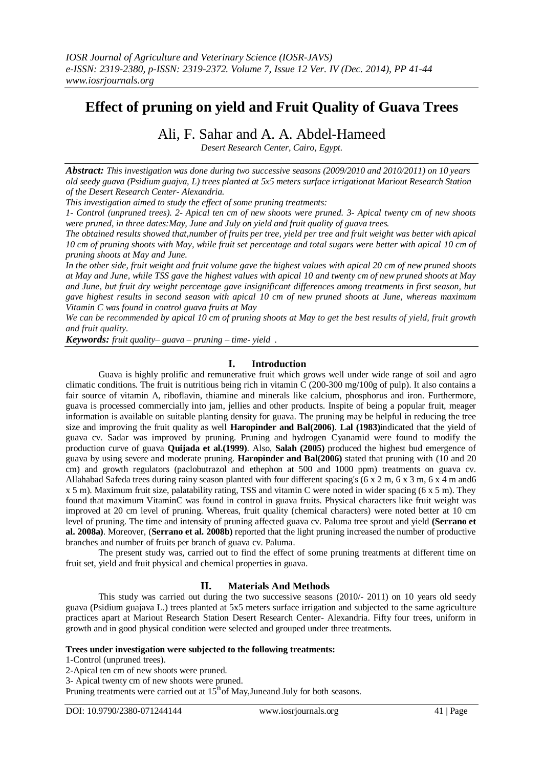# **Effect of pruning on yield and Fruit Quality of Guava Trees**

# Ali, F. Sahar and A. A. Abdel-Hameed

*Desert Research Center, Cairo, Egypt.*

*Abstract: This investigation was done during two successive seasons (2009/2010 and 2010/2011) on 10 years old seedy guava (Psidium guajva, L) trees planted at 5x5 meters surface irrigationat Mariout Research Station of the Desert Research Center- Alexandria.*

*This investigation aimed to study the effect of some pruning treatments:* 

*1- Control (unpruned trees). 2- Apical ten cm of new shoots were pruned. 3- Apical twenty cm of new shoots were pruned, in three dates:May, June and July on yield and fruit quality of guava trees.*

*The obtained results showed that,number of fruits per tree, yield per tree and fruit weight was better with apical 10 cm of pruning shoots with May, while fruit set percentage and total sugars were better with apical 10 cm of pruning shoots at May and June.*

*In the other side, fruit weight and fruit volume gave the highest values with apical 20 cm of new pruned shoots at May and June, while TSS gave the highest values with apical 10 and twenty cm of new pruned shoots at May and June, but fruit dry weight percentage gave insignificant differences among treatments in first season, but gave highest results in second season with apical 10 cm of new pruned shoots at June, whereas maximum Vitamin C was found in control guava fruits at May*

*We can be recommended by apical 10 cm of pruning shoots at May to get the best results of yield, fruit growth and fruit quality.*

*Keywords: fruit quality– guava – pruning – time- yield .*

### **I. Introduction**

Guava is highly prolific and remunerative fruit which grows well under wide range of soil and agro climatic conditions. The fruit is nutritious being rich in vitamin  $\overline{C}$  (200-300 mg/100g of pulp). It also contains a fair source of vitamin A, riboflavin, thiamine and minerals like calcium, phosphorus and iron. Furthermore, guava is processed commercially into jam, jellies and other products. Inspite of being a popular fruit, meager information is available on suitable planting density for guava. The pruning may be helpful in reducing the tree size and improving the fruit quality as well **Haropinder and Bal(2006)**. **Lal (1983)**indicated that the yield of guava cv. Sadar was improved by pruning. Pruning and hydrogen Cyanamid were found to modify the production curve of guava **Quijada et al.(1999)**. Also, **Salah (2005)** produced the highest bud emergence of guava by using severe and moderate pruning. **Haropinder and Bal(2006)** stated that pruning with (10 and 20 cm) and growth regulators (paclobutrazol and ethephon at 500 and 1000 ppm) treatments on guava cv. Allahabad Safeda trees during rainy season planted with four different spacing's (6 x 2 m, 6 x 3 m, 6 x 4 m and6 x 5 m). Maximum fruit size, palatability rating, TSS and vitamin C were noted in wider spacing (6 x 5 m). They found that maximum VitaminC was found in control in guava fruits. Physical characters like fruit weight was improved at 20 cm level of pruning. Whereas, fruit quality (chemical characters) were noted better at 10 cm level of pruning. The time and intensity of pruning affected guava cv. Paluma tree sprout and yield **(Serrano et al. 2008a)**. Moreover, (**Serrano et al. 2008b)** reported that the light pruning increased the number of productive branches and number of fruits per branch of guava cv. Paluma.

The present study was, carried out to find the effect of some pruning treatments at different time on fruit set, yield and fruit physical and chemical properties in guava.

# **II. Materials And Methods**

This study was carried out during the two successive seasons (2010/- 2011) on 10 years old seedy guava (Psidium guajava L.) trees planted at 5x5 meters surface irrigation and subjected to the same agriculture practices apart at Mariout Research Station Desert Research Center- Alexandria. Fifty four trees, uniform in growth and in good physical condition were selected and grouped under three treatments.

#### **Trees under investigation were subjected to the following treatments:**

1-Control (unpruned trees).

Pruning treatments were carried out at  $15<sup>th</sup>$ of May, Juneand July for both seasons.

<sup>2-</sup>Apical ten cm of new shoots were pruned.

<sup>3-</sup> Apical twenty cm of new shoots were pruned.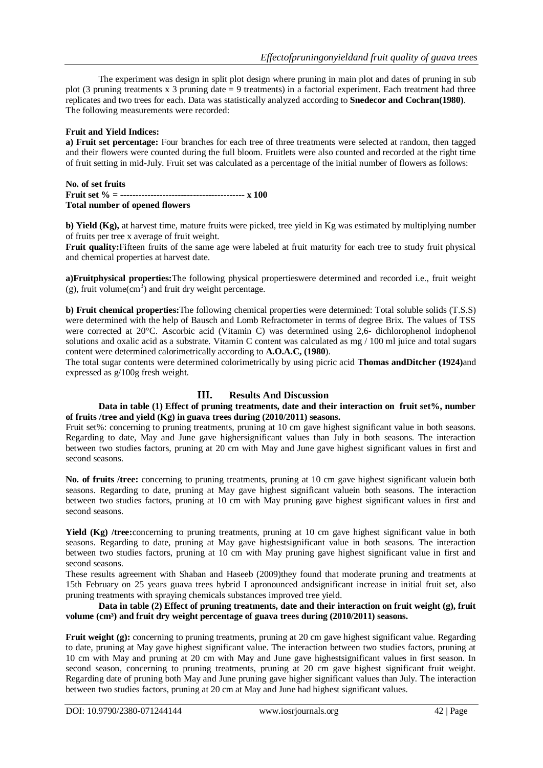The experiment was design in split plot design where pruning in main plot and dates of pruning in sub plot (3 pruning treatments x 3 pruning date  $= 9$  treatments) in a factorial experiment. Each treatment had three replicates and two trees for each. Data was statistically analyzed according to **Snedecor and Cochran(1980)**. The following measurements were recorded:

### **Fruit and Yield Indices:**

**a) Fruit set percentage:** Four branches for each tree of three treatments were selected at random, then tagged and their flowers were counted during the full bloom. Fruitlets were also counted and recorded at the right time of fruit setting in mid-July. Fruit set was calculated as a percentage of the initial number of flowers as follows:

#### **No. of set fruits Fruit set % = ----------------------------------------- x 100 Total number of opened flowers**

**b) Yield (Kg),** at harvest time, mature fruits were picked, tree yield in Kg was estimated by multiplying number of fruits per tree x average of fruit weight.

**Fruit quality:**Fifteen fruits of the same age were labeled at fruit maturity for each tree to study fruit physical and chemical properties at harvest date.

**a)Fruitphysical properties:**The following physical propertieswere determined and recorded i.e., fruit weight  $(g)$ , fruit volume $(cm<sup>3</sup>)$  and fruit dry weight percentage.

**b) Fruit chemical properties:**The following chemical properties were determined: Total soluble solids (T.S.S) were determined with the help of Bausch and Lomb Refractometer in terms of degree Brix. The values of TSS were corrected at 20°C. Ascorbic acid (Vitamin C) was determined using 2,6- dichlorophenol indophenol solutions and oxalic acid as a substrate. Vitamin C content was calculated as mg / 100 ml juice and total sugars content were determined calorimetrically according to **A.O.A.C, (1980**).

The total sugar contents were determined colorimetrically by using picric acid **Thomas andDitcher (1924)**and expressed as g/100g fresh weight.

# **III. Results And Discussion**

#### **Data in table (1) Effect of pruning treatments, date and their interaction on fruit set%, number of fruits /tree and yield (Kg) in guava trees during (2010/2011) seasons.**

Fruit set%: concerning to pruning treatments, pruning at 10 cm gave highest significant value in both seasons. Regarding to date, May and June gave highersignificant values than July in both seasons. The interaction between two studies factors, pruning at 20 cm with May and June gave highest significant values in first and second seasons.

No. of fruits /tree: concerning to pruning treatments, pruning at 10 cm gave highest significant valuein both seasons. Regarding to date, pruning at May gave highest significant valuein both seasons. The interaction between two studies factors, pruning at 10 cm with May pruning gave highest significant values in first and second seasons.

**Yield (Kg) /tree:**concerning to pruning treatments, pruning at 10 cm gave highest significant value in both seasons. Regarding to date, pruning at May gave highestsignificant value in both seasons. The interaction between two studies factors, pruning at 10 cm with May pruning gave highest significant value in first and second seasons.

These results agreement with Shaban and Haseeb (2009)they found that moderate pruning and treatments at 15th February on 25 years guava trees hybrid I apronounced andsignificant increase in initial fruit set, also pruning treatments with spraying chemicals substances improved tree yield.

#### **Data in table (2) Effect of pruning treatments, date and their interaction on fruit weight (g), fruit**  volume (cm<sup>3</sup>) and fruit dry weight percentage of guava trees during (2010/2011) seasons.

**Fruit weight (g):** concerning to pruning treatments, pruning at 20 cm gave highest significant value. Regarding to date, pruning at May gave highest significant value. The interaction between two studies factors, pruning at 10 cm with May and pruning at 20 cm with May and June gave highestsignificant values in first season. In second season, concerning to pruning treatments, pruning at 20 cm gave highest significant fruit weight. Regarding date of pruning both May and June pruning gave higher significant values than July. The interaction between two studies factors, pruning at 20 cm at May and June had highest significant values.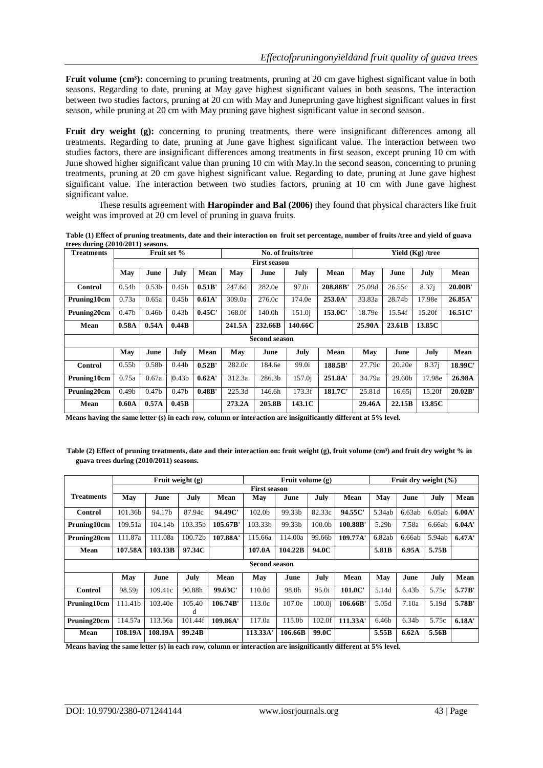**Fruit volume (cm<sup>3</sup>):** concerning to pruning treatments, pruning at 20 cm gave highest significant value in both seasons. Regarding to date, pruning at May gave highest significant values in both seasons. The interaction between two studies factors, pruning at 20 cm with May and Junepruning gave highest significant values in first season, while pruning at 20 cm with May pruning gave highest significant value in second season.

Fruit dry weight (g): concerning to pruning treatments, there were insignificant differences among all treatments. Regarding to date, pruning at June gave highest significant value. The interaction between two studies factors, there are insignificant differences among treatments in first season, except pruning 10 cm with June showed higher significant value than pruning 10 cm with May.In the second season, concerning to pruning treatments, pruning at 20 cm gave highest significant value. Regarding to date, pruning at June gave highest significant value. The interaction between two studies factors, pruning at 10 cm with June gave highest significant value.

These results agreement with **Haropinder and Bal (2006)** they found that physical characters like fruit weight was improved at 20 cm level of pruning in guava fruits.

**Table (1) Effect of pruning treatments, date and their interaction on fruit set percentage, number of fruits /tree and yield of guava trees during (2010/2011) seasons.**

| Treatments           |                                            |                     | Fruit set %       |        |        |         | No. of fruits/tree |         | Yield (Kg) /tree |           |        |         |
|----------------------|--------------------------------------------|---------------------|-------------------|--------|--------|---------|--------------------|---------|------------------|-----------|--------|---------|
|                      |                                            | <b>First season</b> |                   |        |        |         |                    |         |                  |           |        |         |
|                      | May                                        | June                | July              | Mean   | May    | June    | July               | Mean    | May              | June      | July   | Mean    |
| Control              | 0.54 <sub>b</sub>                          | 0.53 <sub>b</sub>   | 0.45 <sub>b</sub> | 0.51B' | 247.6d | 282.0e  | 97.0i              | 208.88B | 25.09d           | 26.55c    | 8.37i  | 20.00B' |
| Pruning10cm          | 0.73a                                      | 0.65a               | 0.45 <sub>b</sub> | 0.61A' | 309.0a | 276.0c  | 174.0e             | 253.0A' | 33.83a           | 28.74b    | 17.98e | 26.85A' |
| Pruning20cm          | 0.47 <sub>b</sub>                          | 0.46 <sub>b</sub>   | 0.43 <sub>b</sub> | 0.45C  | 168.0f | 140.0h  | 151.0 <sub>i</sub> | 153.0C' | 18.79e           | 15.54f    | 15.20f | 16.51C  |
| Mean                 | 0.58A                                      | 0.54A               | 0.44B             |        | 241.5A | 232.66B | 140.66C            |         | 25.90A           | 23.61B    | 13.85C |         |
| <b>Second season</b> |                                            |                     |                   |        |        |         |                    |         |                  |           |        |         |
|                      | June<br>May<br>July<br>Mean<br>May<br>June |                     |                   |        |        | July    | Mean               | May     | June             | July      | Mean   |         |
| Control              | 0.55 <sub>b</sub>                          | 0.58 <sub>b</sub>   | 0.44 <sub>b</sub> | 0.52B' | 282.0c | 184.6e  | 99.0i              | 188.5B' | 27.79c           | 20.20e    | 8.37i  | 18.99C' |
| Pruning10cm          | 0.75a                                      | 0.67a               | 0.43 <sub>b</sub> | 0.62A' | 312.3a | 286.3b  | 157.0i             | 251.8A' | 34.79a           | 29.60b    | 17.98e | 26.98A  |
| Pruning20cm          | 0.49 <sub>b</sub>                          | 0.47 <sub>b</sub>   | 0.47 <sub>b</sub> | 0.48B' | 225.3d | 146.6h  | 173.3f             | 181.7C' | 25.81d           | $16.65$ j | 15.20f | 20.02B' |
| Mean                 | 0.60A                                      | 0.57A               | 0.45B             |        | 273.2A | 205.8B  | 143.1C             |         | 29.46A           | 22.15B    | 13.85C |         |

**Means having the same letter (s) in each row, column or interaction are insignificantly different at 5% level.** 

Table (2) Effect of pruning treatments, date and their interaction on: fruit weight (g), fruit volume (cm<sup>3</sup>) and fruit dry weight % in **guava trees during (2010/2011) seasons.** 

|                      | Fruit weight $(g)$  |         |             |          |          | Fruit dry weight $(\% )$ |                    |          |        |                   |        |        |
|----------------------|---------------------|---------|-------------|----------|----------|--------------------------|--------------------|----------|--------|-------------------|--------|--------|
|                      | <b>First season</b> |         |             |          |          |                          |                    |          |        |                   |        |        |
| <b>Treatments</b>    | May                 | June    | July        | Mean     | May      | June                     | July               | Mean     | May    | June              | July   | Mean   |
| <b>Control</b>       | 101.36b             | 94.17b  | 87.94c      | 94.49C'  | 102.0b   | 99.33b                   | 82.33c             | 94.55C'  | 5.34ab | 6.63ab            | 6.05ab | 6.00A' |
| Pruning10cm          | 109.51a             | 104.14b | 103.35b     | 105.67B' | 103.33b  | 99.33b                   | 100.0 <sub>b</sub> | 100.88B' | 5.29b  | 7.58a             | 6.66ab | 6.04A' |
| Pruning20cm          | 111.87a             | 111.08a | 100.72b     | 107.88A' | 115.66a  | 114.00a                  | 99.66b             | 109.77A' | 6.82ab | 6.66ab            | 5.94ab | 6.47A' |
| Mean                 | 107.58A             | 103.13B | 97.34C      |          | 107.0A   | 104.22B                  | 94.0C              |          | 5.81B  | 6.95A             | 5.75B  |        |
| <b>Second season</b> |                     |         |             |          |          |                          |                    |          |        |                   |        |        |
|                      | May                 | June    | July        | Mean     | May      | June                     | July               | Mean     | May    | June              | July   | Mean   |
| Control              | 98.59i              | 109.41c | 90.88h      | 99.63C'  | 110.0d   | 98.0h                    | 95.0i              | 101.0C'  | 5.14d  | 6.43 <sub>b</sub> | 5.75c  | 5.77B' |
| Pruning10cm          | 111.41b             | 103.40e | 105.40<br>d | 106.74B' | 113.0c   | 107.0e                   | 100.0 <sub>i</sub> | 106.66B' | 5.05d  | 7.10a             | 5.19d  | 5.78B' |
| Pruning20cm          | 114.57a             | 113.56a | 101.44f     | 109.86A' | 117.0a   | 115.0b                   | 102.0f             | 111.33A' | 6.46b  | 6.34b             | 5.75c  | 6.18A' |
| Mean                 | 108.19A             | 108.19A | 99.24B      |          | 113.33A' | 106.66B                  | 99.0C              |          | 5.55B  | 6.62A             | 5.56B  |        |

**Means having the same letter (s) in each row, column or interaction are insignificantly different at 5% level.**